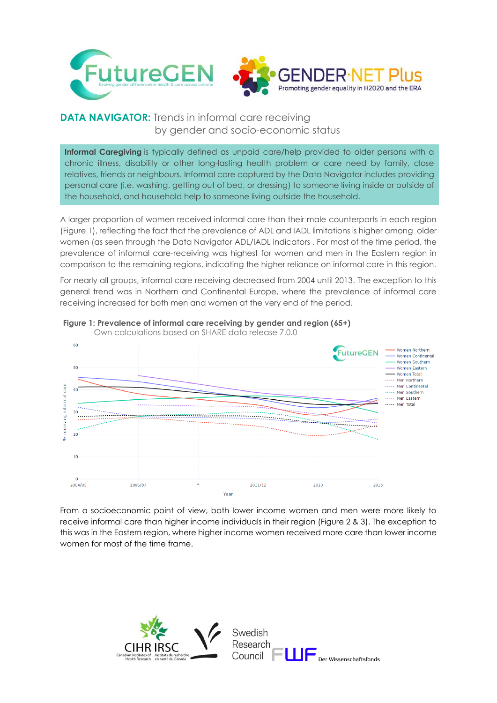

## **DATA NAVIGATOR:** Trends in informal care receiving by gender and socio-economic status

**Informal Caregiving** is typically defined as unpaid care/help provided to older persons with a chronic illness, disability or other long-lasting health problem or care need by family, close relatives, friends or neighbours. Informal care captured by the Data Navigator includes providing personal care (i.e. washing, getting out of bed, or dressing) to someone living inside or outside of the household, and household help to someone living outside the household.

A larger proportion of women received informal care than their male counterparts in each region (Figure 1), reflecting the fact that the prevalence of ADL and IADL limitations is higher among older women (as seen through the Data Navigator ADL/IADL indicators . For most of the time period, the prevalence of informal care-receiving was highest for women and men in the Eastern region in comparison to the remaining regions, indicating the higher reliance on informal care in this region.

For nearly all groups, informal care receiving decreased from 2004 until 2013. The exception to this general trend was in Northern and Continental Europe, where the prevalence of informal care receiving increased for both men and women at the very end of the period.



## **Figure 1: Prevalence of informal care receiving by gender and region (65+)**

From a socioeconomic point of view, both lower income women and men were more likely to receive informal care than higher income individuals in their region (Figure 2 & 3). The exception to this was in the Eastern region, where higher income women received more care than lower income women for most of the time frame.